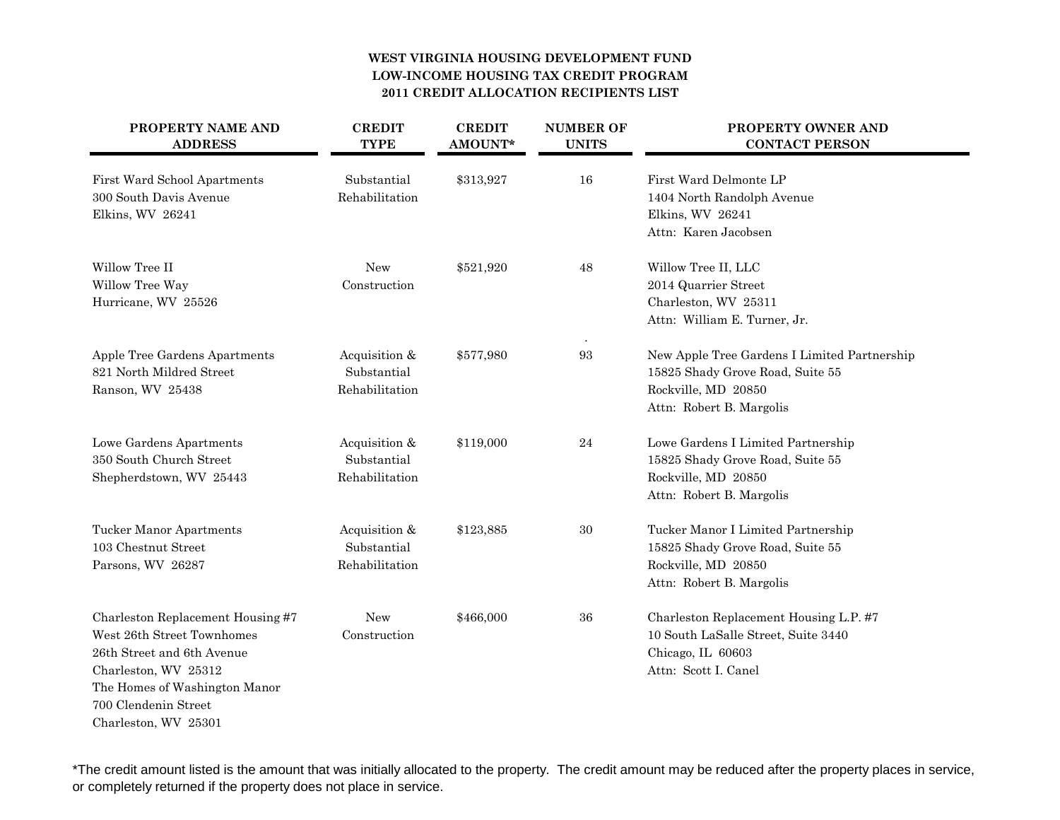## **WEST VIRGINIA HOUSING DEVELOPMENT FUNDLOW-INCOME HOUSING TAX CREDIT PROGRAM2011 CREDIT ALLOCATION RECIPIENTS LIST**

| PROPERTY NAME AND<br><b>ADDRESS</b>                                                                                                                                                                    | <b>CREDIT</b><br><b>TYPE</b>                   | <b>CREDIT</b><br>AMOUNT* | <b>NUMBER OF</b><br><b>UNITS</b> | PROPERTY OWNER AND<br><b>CONTACT PERSON</b>                                                                                         |
|--------------------------------------------------------------------------------------------------------------------------------------------------------------------------------------------------------|------------------------------------------------|--------------------------|----------------------------------|-------------------------------------------------------------------------------------------------------------------------------------|
| First Ward School Apartments<br>300 South Davis Avenue<br>Elkins, WV 26241                                                                                                                             | Substantial<br>Rehabilitation                  | \$313,927                | 16                               | First Ward Delmonte LP<br>1404 North Randolph Avenue<br>Elkins, WV 26241<br>Attn: Karen Jacobsen                                    |
| Willow Tree II<br>Willow Tree Way<br>Hurricane, WV 25526                                                                                                                                               | New<br>Construction                            | \$521,920                | 48                               | Willow Tree II, LLC<br>2014 Quarrier Street<br>Charleston, WV 25311<br>Attn: William E. Turner, Jr.                                 |
| Apple Tree Gardens Apartments<br>821 North Mildred Street<br>Ranson, WV 25438                                                                                                                          | Acquisition &<br>Substantial<br>Rehabilitation | \$577,980                | 93                               | New Apple Tree Gardens I Limited Partnership<br>15825 Shady Grove Road, Suite 55<br>Rockville, MD 20850<br>Attn: Robert B. Margolis |
| Lowe Gardens Apartments<br>350 South Church Street<br>Shepherdstown, WV 25443                                                                                                                          | Acquisition &<br>Substantial<br>Rehabilitation | \$119,000                | 24                               | Lowe Gardens I Limited Partnership<br>15825 Shady Grove Road, Suite 55<br>Rockville, MD 20850<br>Attn: Robert B. Margolis           |
| <b>Tucker Manor Apartments</b><br>103 Chestnut Street<br>Parsons, WV 26287                                                                                                                             | Acquisition &<br>Substantial<br>Rehabilitation | \$123,885                | 30                               | Tucker Manor I Limited Partnership<br>15825 Shady Grove Road, Suite 55<br>Rockville, MD 20850<br>Attn: Robert B. Margolis           |
| Charleston Replacement Housing #7<br>West 26th Street Townhomes<br>26th Street and 6th Avenue<br>Charleston, WV 25312<br>The Homes of Washington Manor<br>700 Clendenin Street<br>Charleston, WV 25301 | New<br>Construction                            | \$466,000                | 36                               | Charleston Replacement Housing L.P. #7<br>10 South LaSalle Street, Suite 3440<br>Chicago, IL 60603<br>Attn: Scott I. Canel          |

\*The credit amount listed is the amount that was initially allocated to the property. The credit amount may be reduced after the property places in service, or completely returned if the property does not place in service.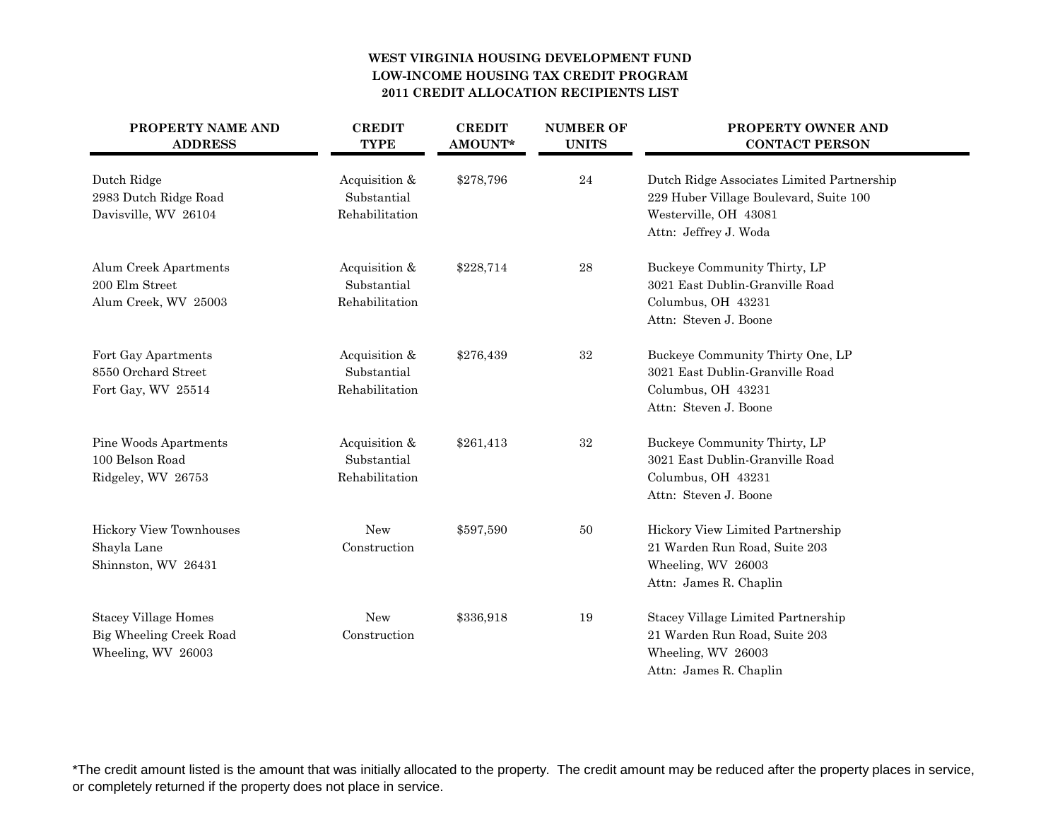## **WEST VIRGINIA HOUSING DEVELOPMENT FUNDLOW-INCOME HOUSING TAX CREDIT PROGRAM2011 CREDIT ALLOCATION RECIPIENTS LIST**

| PROPERTY NAME AND<br><b>ADDRESS</b>                                          | <b>CREDIT</b><br><b>TYPE</b>                   | <b>CREDIT</b><br>AMOUNT* | <b>NUMBER OF</b><br><b>UNITS</b> | PROPERTY OWNER AND<br><b>CONTACT PERSON</b>                                                                                            |
|------------------------------------------------------------------------------|------------------------------------------------|--------------------------|----------------------------------|----------------------------------------------------------------------------------------------------------------------------------------|
| Dutch Ridge<br>2983 Dutch Ridge Road<br>Davisville, WV 26104                 | Acquisition &<br>Substantial<br>Rehabilitation | \$278,796                | $\bf 24$                         | Dutch Ridge Associates Limited Partnership<br>229 Huber Village Boulevard, Suite 100<br>Westerville, OH 43081<br>Attn: Jeffrey J. Woda |
| Alum Creek Apartments<br>200 Elm Street<br>Alum Creek, WV 25003              | Acquisition &<br>Substantial<br>Rehabilitation | \$228,714                | ${\bf 28}$                       | Buckeye Community Thirty, LP<br>3021 East Dublin-Granville Road<br>Columbus, OH 43231<br>Attn: Steven J. Boone                         |
| Fort Gay Apartments<br>8550 Orchard Street<br>Fort Gay, WV 25514             | Acquisition &<br>Substantial<br>Rehabilitation | \$276,439                | 32                               | Buckeye Community Thirty One, LP<br>3021 East Dublin-Granville Road<br>Columbus, OH 43231<br>Attn: Steven J. Boone                     |
| Pine Woods Apartments<br>100 Belson Road<br>Ridgeley, WV 26753               | Acquisition &<br>Substantial<br>Rehabilitation | \$261,413                | $32\,$                           | Buckeye Community Thirty, LP<br>3021 East Dublin-Granville Road<br>Columbus, OH 43231<br>Attn: Steven J. Boone                         |
| <b>Hickory View Townhouses</b><br>Shayla Lane<br>Shinnston, WV 26431         | New<br>Construction                            | \$597,590                | 50                               | Hickory View Limited Partnership<br>21 Warden Run Road, Suite 203<br>Wheeling, WV 26003<br>Attn: James R. Chaplin                      |
| <b>Stacey Village Homes</b><br>Big Wheeling Creek Road<br>Wheeling, WV 26003 | New<br>Construction                            | \$336,918                | 19                               | Stacey Village Limited Partnership<br>21 Warden Run Road, Suite 203<br>Wheeling, WV 26003<br>Attn: James R. Chaplin                    |

\*The credit amount listed is the amount that was initially allocated to the property. The credit amount may be reduced after the property places in service, or completely returned if the property does not place in service.